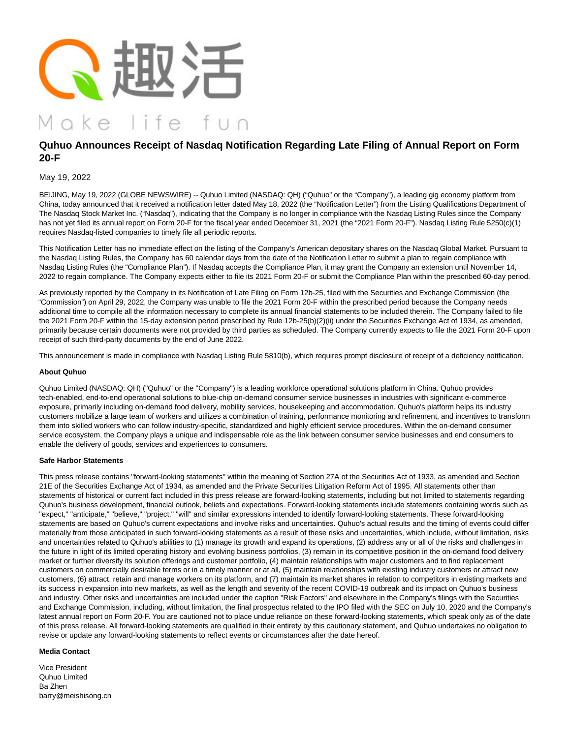

# **Quhuo Announces Receipt of Nasdaq Notification Regarding Late Filing of Annual Report on Form 20-F**

## May 19, 2022

BEIJING, May 19, 2022 (GLOBE NEWSWIRE) -- Quhuo Limited (NASDAQ: QH) ("Quhuo" or the "Company"), a leading gig economy platform from China, today announced that it received a notification letter dated May 18, 2022 (the "Notification Letter") from the Listing Qualifications Department of The Nasdaq Stock Market Inc. ("Nasdaq"), indicating that the Company is no longer in compliance with the Nasdaq Listing Rules since the Company has not yet filed its annual report on Form 20-F for the fiscal year ended December 31, 2021 (the "2021 Form 20-F"). Nasdaq Listing Rule 5250(c)(1) requires Nasdaq-listed companies to timely file all periodic reports.

This Notification Letter has no immediate effect on the listing of the Company's American depositary shares on the Nasdaq Global Market. Pursuant to the Nasdaq Listing Rules, the Company has 60 calendar days from the date of the Notification Letter to submit a plan to regain compliance with Nasdaq Listing Rules (the "Compliance Plan"). If Nasdaq accepts the Compliance Plan, it may grant the Company an extension until November 14, 2022 to regain compliance. The Company expects either to file its 2021 Form 20-F or submit the Compliance Plan within the prescribed 60-day period.

As previously reported by the Company in its Notification of Late Filing on Form 12b-25, filed with the Securities and Exchange Commission (the "Commission") on April 29, 2022, the Company was unable to file the 2021 Form 20-F within the prescribed period because the Company needs additional time to compile all the information necessary to complete its annual financial statements to be included therein. The Company failed to file the 2021 Form 20-F within the 15-day extension period prescribed by Rule 12b-25(b)(2)(ii) under the Securities Exchange Act of 1934, as amended, primarily because certain documents were not provided by third parties as scheduled. The Company currently expects to file the 2021 Form 20-F upon receipt of such third-party documents by the end of June 2022.

This announcement is made in compliance with Nasdaq Listing Rule 5810(b), which requires prompt disclosure of receipt of a deficiency notification.

### **About Quhuo**

Quhuo Limited (NASDAQ: QH) ("Quhuo" or the "Company") is a leading workforce operational solutions platform in China. Quhuo provides tech-enabled, end-to-end operational solutions to blue-chip on-demand consumer service businesses in industries with significant e-commerce exposure, primarily including on-demand food delivery, mobility services, housekeeping and accommodation. Quhuo's platform helps its industry customers mobilize a large team of workers and utilizes a combination of training, performance monitoring and refinement, and incentives to transform them into skilled workers who can follow industry-specific, standardized and highly efficient service procedures. Within the on-demand consumer service ecosystem, the Company plays a unique and indispensable role as the link between consumer service businesses and end consumers to enable the delivery of goods, services and experiences to consumers.

### **Safe Harbor Statements**

This press release contains ''forward-looking statements'' within the meaning of Section 27A of the Securities Act of 1933, as amended and Section 21E of the Securities Exchange Act of 1934, as amended and the Private Securities Litigation Reform Act of 1995. All statements other than statements of historical or current fact included in this press release are forward-looking statements, including but not limited to statements regarding Quhuo's business development, financial outlook, beliefs and expectations. Forward-looking statements include statements containing words such as "expect," "anticipate," "believe," "project," "will" and similar expressions intended to identify forward-looking statements. These forward-looking statements are based on Quhuo's current expectations and involve risks and uncertainties. Quhuo's actual results and the timing of events could differ materially from those anticipated in such forward-looking statements as a result of these risks and uncertainties, which include, without limitation, risks and uncertainties related to Quhuo's abilities to (1) manage its growth and expand its operations, (2) address any or all of the risks and challenges in the future in light of its limited operating history and evolving business portfolios, (3) remain in its competitive position in the on-demand food delivery market or further diversify its solution offerings and customer portfolio, (4) maintain relationships with major customers and to find replacement customers on commercially desirable terms or in a timely manner or at all, (5) maintain relationships with existing industry customers or attract new customers, (6) attract, retain and manage workers on its platform, and (7) maintain its market shares in relation to competitors in existing markets and its success in expansion into new markets, as well as the length and severity of the recent COVID-19 outbreak and its impact on Quhuo's business and industry. Other risks and uncertainties are included under the caption "Risk Factors" and elsewhere in the Company's filings with the Securities and Exchange Commission, including, without limitation, the final prospectus related to the IPO filed with the SEC on July 10, 2020 and the Company's latest annual report on Form 20-F. You are cautioned not to place undue reliance on these forward-looking statements, which speak only as of the date of this press release. All forward-looking statements are qualified in their entirety by this cautionary statement, and Quhuo undertakes no obligation to revise or update any forward-looking statements to reflect events or circumstances after the date hereof.

#### **Media Contact**

Vice President Quhuo Limited Ba Zhen barry@meishisong.cn